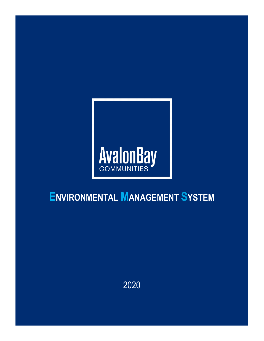

# **ENVIRONMENTAL MANAGEMENT SYSTEM**

2020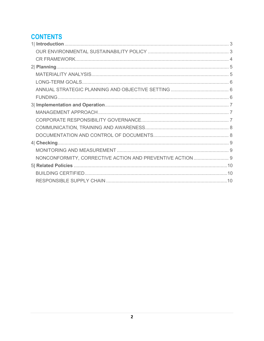### **CONTENTS**

| NONCONFORMITY, CORRECTIVE ACTION AND PREVENTIVE ACTION  9 |  |
|-----------------------------------------------------------|--|
|                                                           |  |
|                                                           |  |
|                                                           |  |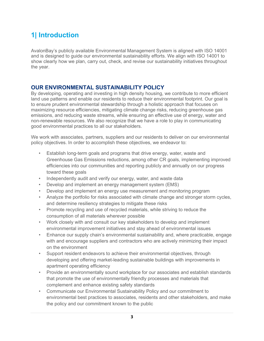# <span id="page-2-0"></span>**1| Introduction**

<span id="page-2-1"></span>AvalonBay's publicly available Environmental Management System is aligned with ISO 14001 and is designed to guide our environmental sustainability efforts. We align with ISO 14001 to show clearly how we plan, carry out, check, and revise our sustainability initiatives throughout the year.

#### **OUR ENVIRONMENTAL SUSTAINABILITY POLICY**

By developing, operating and investing in high density housing, we contribute to more efficient land use patterns and enable our residents to reduce their environmental footprint. Our goal is to ensure prudent environmental stewardship through a holistic approach that focuses on maximizing resource efficiencies, mitigating climate change risks, reducing greenhouse gas emissions, and reducing waste streams, while ensuring an effective use of energy, water and non-renewable resources. We also recognize that we have a role to play in communicating good environmental practices to all our stakeholders.

We work with associates, partners, suppliers and our residents to deliver on our environmental policy objectives. In order to accomplish these objectives, we endeavor to:

- Establish long-term goals and programs that drive energy, water, waste and Greenhouse Gas Emissions reductions, among other CR goals, implementing improved efficiencies into our communities and reporting publicly and annually on our progress toward these goals
- Independently audit and verify our energy, water, and waste data
- Develop and implement an energy management system (EMS)
- Develop and implement an energy use measurement and monitoring program
- Analyze the portfolio for risks associated with climate change and stronger storm cycles, and determine resiliency strategies to mitigate these risks
- Promote recycling and use of recycled materials, while striving to reduce the consumption of all materials wherever possible
- Work closely with and consult our key stakeholders to develop and implement environmental improvement initiatives and stay ahead of environmental issues
- Enhance our supply chain's environmental sustainability and, where practicable, engage with and encourage suppliers and contractors who are actively minimizing their impact on the environment
- Support resident endeavors to achieve their environmental objectives, through developing and offering market-leading sustainable buildings with improvements in apartment operating efficiency
- Provide an environmentally sound workplace for our associates and establish standards that promote the use of environmentally friendly processes and materials that complement and enhance existing safety standards
- Communicate our Environmental Sustainability Policy and our commitment to environmental best practices to associates, residents and other stakeholders, and make the policy and our commitment known to the public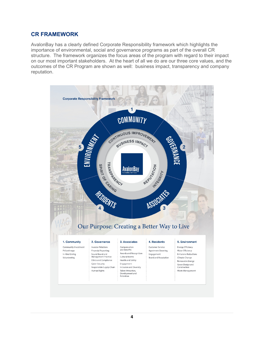#### <span id="page-3-0"></span>**CR FRAMEWORK**

AvalonBay has a clearly defined Corporate Responsibility framework which highlights the importance of environmental, social and governance programs as part of the overall CR structure. The framework organizes the focus areas of the program with regard to their impact on our most important stakeholders. At the heart of all we do are our three core values, and the outcomes of the CR Program are shown as well: business impact, transparency and company reputation.

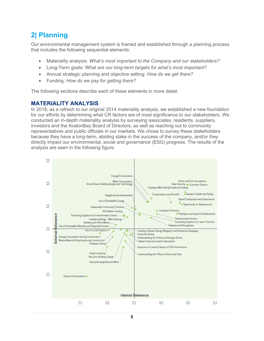### <span id="page-4-0"></span>**2| Planning**

Our environmental management system is framed and established through a planning process that includes the following sequential elements:

- Materiality analysis: *What's most important to the Company and our stakeholders?*
- Long-Term goals: *What are our long-term targets for what's most important?*
- Annual strategic planning and objective setting: *How do we get there?*
- Funding: *How do we pay for getting there?*

The following sections describe each of these elements in more detail.

#### <span id="page-4-1"></span>**MATERIALITY ANALYSIS**

In 2018, as a refresh to our original 2014 materiality analysis, we established a new foundation for our efforts by determining what CR factors are of most significance to our stakeholders. We conducted an in-depth materiality analysis by surveying associates, residents, suppliers, investors and the AvalonBay Board of Directors, as well as reaching out to community representatives and public officials in our markets. We chose to survey these stakeholders because they have a long-term, abiding stake in the success of the company, and/or they directly impact our environmental, social and governance (ESG) progress. The results of the analysis are seen in the following figure.

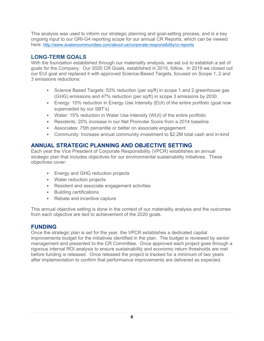This analysis was used to inform our strategic planning and goal-setting process, and is a key ongoing input to our GRI-G4 reporting scope for our annual CR Reports, which can be viewed here:<http://www.avaloncommunities.com/about-us/corporate-responsibility/cr-reports>

#### <span id="page-5-0"></span>**LONG-TERM GOALS**

With the foundation established through our materiality analysis, we set out to establish a set of goals for the Company. Our 2020 CR Goals, established in 2015, follow. In 2019 we closed out our EUI goal and replaced it with approved Science-Based Targets, focused on Scope 1, 2 and 3 emissions reductions:

- Science Based Targets: 53% reduction (per sq/ft) in scope 1 and 2 greenhouse gas (GHG) emissions and 47% reduction (per sq/ft) in scope 3 emissions by 2030.
- Energy: 15% reduction in Energy Use Intensity (EUI) of the entire portfolio (goal now superceded by our SBT's)
- Water: 15% reduction in Water Use Intensity (WUI) of the entire portfolio
- Residents: 20% increase in our Net Promoter Score from a 2014 baseline
- Associates: 75th percentile or better on associate engagement
- Community: Increase annual community investment to \$2.2M total cash and in-kind

#### <span id="page-5-1"></span>**ANNUAL STRATEGIC PLANNING AND OBJECTIVE SETTING**

Each year the Vice President of Corporate Responsibility (VPCR) establishes an annual strategic plan that includes objectives for our environmental sustainability initiatives. These objectives cover:

- Energy and GHG reduction projects
- Water reduction projects
- Resident and associate engagement activities
- Building certifications
- Rebate and incentive capture

This annual objective setting is done in the context of our materiality analysis and the outcomes from each objective are tied to achievement of the 2020 goals.

#### <span id="page-5-2"></span>**FUNDING**

Once the strategic plan is set for the year, the VPCR establishes a dedicated capital improvements budget for the initiatives identified in the plan. The budget is reviewed by senior management and presented to the CR Committee. Once approved each project goes through a rigorous internal ROI analysis to ensure sustainability and economic return thresholds are met before funding is released. Once released the project is tracked for a minimum of two years after implementation to confirm that performance improvements are delivered as expected.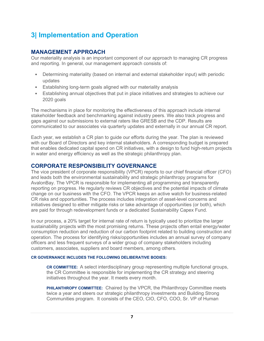### <span id="page-6-0"></span>**3| Implementation and Operation**

#### <span id="page-6-1"></span>**MANAGEMENT APPROACH**

Our materiality analysis is an important component of our approach to managing CR progress and reporting. In general, our management approach consists of:

- Determining materiality (based on internal and external stakeholder input) with periodic updates
- Establishing long-term goals aligned with our materiality analysis
- Establishing annual objectives that put in place initiatives and strategies to achieve our 2020 goals

The mechanisms in place for monitoring the effectiveness of this approach include internal stakeholder feedback and benchmarking against industry peers. We also track progress and gaps against our submissions to external raters like GRESB and the CDP. Results are communicated to our associates via quarterly updates and externally in our annual CR report.

Each year, we establish a CR plan to guide our efforts during the year. The plan is reviewed with our Board of Directors and key internal stakeholders. A corresponding budget is prepared that enables dedicated capital spend on CR initiatives, with a design to fund high-return projects in water and energy efficiency as well as the strategic philanthropy plan.

#### <span id="page-6-2"></span>**CORPORATE RESPONSIBILITY GOVERNANCE**

The vice president of corporate responsibility (VPCR) reports to our chief financial officer (CFO) and leads both the environmental sustainability and strategic philanthropy programs for AvalonBay. The VPCR is responsible for implementing all programming and transparently reporting on progress. He regularly reviews CR objectives and the potential impacts of climate change on our business with the CFO. The VPCR keeps an active watch for business-related CR risks and opportunities. The process includes integration of asset-level concerns and initiatives designed to either mitigate risks or take advantage of opportunities (or both), which are paid for through redevelopment funds or a dedicated Sustainability Capex Fund.

In our process, a 20% target for internal rate of return is typically used to prioritize the larger sustainability projects with the most promising returns. These projects often entail energy/water consumption reduction and reduction of our carbon footprint related to building construction and operation. The process for identifying risks/opportunities includes an annual survey of company officers and less frequent surveys of a wider group of company stakeholders including customers, associates, suppliers and board members, among others.

#### **CR GOVERNANCE INCLUDES THE FOLLOWING DELIBERATIVE BODIES:**

**CR COMMITTEE:** A select interdisciplinary group representing multiple functional groups, the CR Committee is responsible for implementing the CR strategy and steering initiatives throughout the year. It meets every month.

**PHILANTHROPY COMMITTEE:** Chaired by the VPCR, the Philanthropy Committee meets twice a year and steers our strategic philanthropy investments and Building Strong Communities program. It consists of the CEO, CIO, CFO, COO, Sr. VP of Human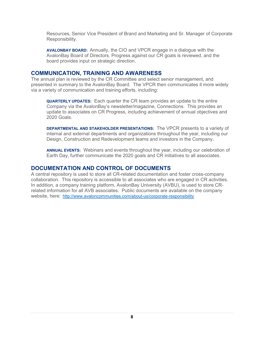Resources, Senior Vice President of Brand and Marketing and Sr. Manager of Corporate Responsibility.

**AVALONBAY BOARD:** Annually, the CIO and VPCR engage in a dialogue with the AvalonBay Board of Directors. Progress against our CR goals is reviewed, and the board provides input on strategic direction.

#### <span id="page-7-0"></span>**COMMUNICATION, TRAINING AND AWARENESS**

The annual plan is reviewed by the CR Committee and select senior management, and presented in summary to the AvalonBay Board. The VPCR then communicates it more widely via a variety of communication and training efforts, including:

**QUARTERLY UPDATES:** Each quarter the CR team provides an update to the entire Company via the AvalonBay's newsletter/magazine, Connections. This provides an update to associates on CR Progress, including achievement of annual objectives and 2020 Goals.

**DEPARTMENTAL AND STAKEHOLDER PRESENTATIONS:** The VPCR presents to a variety of internal and external departments and organizations throughout the year, including our Design, Construction and Redevelopment teams and investors in the Company.

**ANNUAL EVENTS:** Webinars and events throughout the year, including our celebration of Earth Day, further communicate the 2020 goals and CR initiatives to all associates.

#### <span id="page-7-1"></span>**DOCUMENTATION AND CONTROL OF DOCUMENTS**

A central repository is used to store all CR-related documentation and foster cross-company collaboration. This repository is accessible to all associates who are engaged in CR activities. In addition, a company training platform, AvalonBay University (AVBU), is used to store CRrelated information for all AVB associates. Public documents are available on the company website, here: <http://www.avaloncommunities.com/about-us/corporate-responsibility>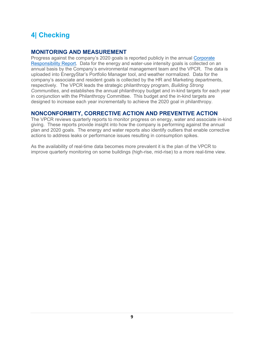# <span id="page-8-0"></span>**4| Checking**

#### <span id="page-8-1"></span>**MONITORING AND MEASUREMENT**

Progress against the company's 2020 goals is reported publicly in the annual [Corporate](http://www.avaloncommunities.com/about-us/corporate-responsibility/cr-reports)  [Responsibility Report.](http://www.avaloncommunities.com/about-us/corporate-responsibility/cr-reports) Data for the energy and water-use intensity goals is collected on an annual basis by the Company's environmental management team and the VPCR. The data is uploaded into EnergyStar's Portfolio Manager tool, and weather normalized. Data for the company's associate and resident goals is collected by the HR and Marketing departments, respectively. The VPCR leads the strategic philanthropy program, *Building Strong Communities*, and establishes the annual philanthropy budget and in-kind targets for each year in conjunction with the Philanthropy Committee. This budget and the in-kind targets are designed to increase each year incrementally to achieve the 2020 goal in philanthropy.

#### <span id="page-8-2"></span>**NONCONFORMITY, CORRECTIVE ACTION AND PREVENTIVE ACTION**

The VPCR reviews quarterly reports to monitor progress on energy, water and associate in-kind giving. These reports provide insight into how the company is performing against the annual plan and 2020 goals. The energy and water reports also identify outliers that enable corrective actions to address leaks or performance issues resulting in consumption spikes.

As the availability of real-time data becomes more prevalent it is the plan of the VPCR to improve quarterly monitoring on some buildings (high-rise, mid-rise) to a more real-time view.